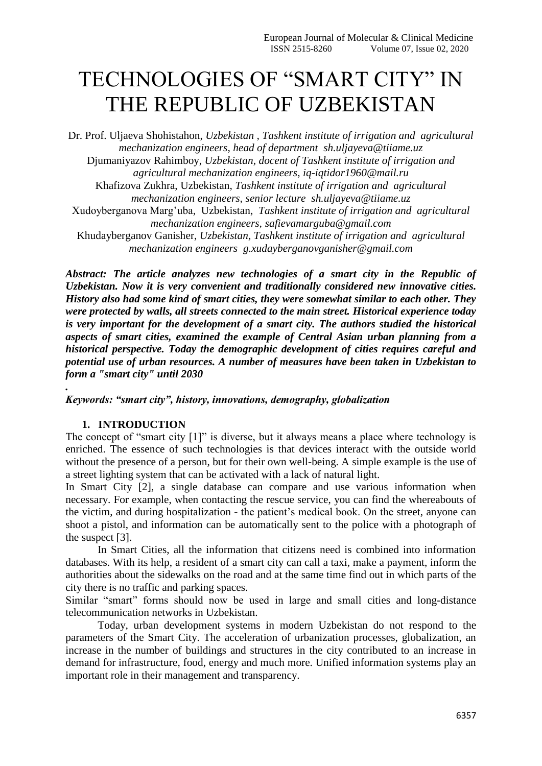# TECHNOLOGIES OF "SMART CITY" IN THE REPUBLIC OF UZBEKISTAN

Dr. Prof. Uljaeva Shohistahon, *Uzbekistan , Tashkent institute of irrigation and agricultural mechanization engineers, head of department [sh.uljayeva@tiiame.uz](mailto:sh.uljayeva@tiiame.uz)* Djumaniyazov Rahimboy, *Uzbekistan, docent of Tashkent institute of irrigation and agricultural mechanization engineers, [iq-iqtidor1960@mail.ru](mailto:iq-iqtidor1960@mail.ru)* Khafizova Zukhra, Uzbekistan, *Tashkent institute of irrigation and agricultural mechanization engineers, senior lecture [sh.uljayeva@tiiame.uz](mailto:sh.uljayeva@tiiame.uz)* Xudoyberganova Marg'uba, Uzbekistan, *Tashkent institute of irrigation and agricultural mechanization engineers, [safievamarguba@gmail.com](mailto:safievamarguba@gmail.com)* Khudayberganov Ganisher, *Uzbekistan, Tashkent institute of irrigation and agricultural mechanization engineers [g.xudayberganovganisher@gmail.com](mailto:g.xudayberganovganisher@gmail.com)*

*Abstract: The article analyzes new technologies of a smart city in the Republic of Uzbekistan. Now it is very convenient and traditionally considered new innovative cities. History also had some kind of smart cities, they were somewhat similar to each other. They were protected by walls, all streets connected to the main street. Historical experience today is very important for the development of a smart city. The authors studied the historical aspects of smart cities, examined the example of Central Asian urban planning from a historical perspective. Today the demographic development of cities requires careful and potential use of urban resources. A number of measures have been taken in Uzbekistan to form a "smart city" until 2030*

## *Keywords: "smart city", history, innovations, demography, globalization*

## **1. INTRODUCTION**

*.*

The concept of "smart city [1]" is diverse, but it always means a place where technology is enriched. The essence of such technologies is that devices interact with the outside world without the presence of a person, but for their own well-being. A simple example is the use of a street lighting system that can be activated with a lack of natural light.

In Smart City [2], a single database can compare and use various information when necessary. For example, when contacting the rescue service, you can find the whereabouts of the victim, and during hospitalization - the patient's medical book. On the street, anyone can shoot a pistol, and information can be automatically sent to the police with a photograph of the suspect [3].

In Smart Cities, all the information that citizens need is combined into information databases. With its help, a resident of a smart city can call a taxi, make a payment, inform the authorities about the sidewalks on the road and at the same time find out in which parts of the city there is no traffic and parking spaces.

Similar "smart" forms should now be used in large and small cities and long-distance telecommunication networks in Uzbekistan.

Today, urban development systems in modern Uzbekistan do not respond to the parameters of the Smart City. The acceleration of urbanization processes, globalization, an increase in the number of buildings and structures in the city contributed to an increase in demand for infrastructure, food, energy and much more. Unified information systems play an important role in their management and transparency.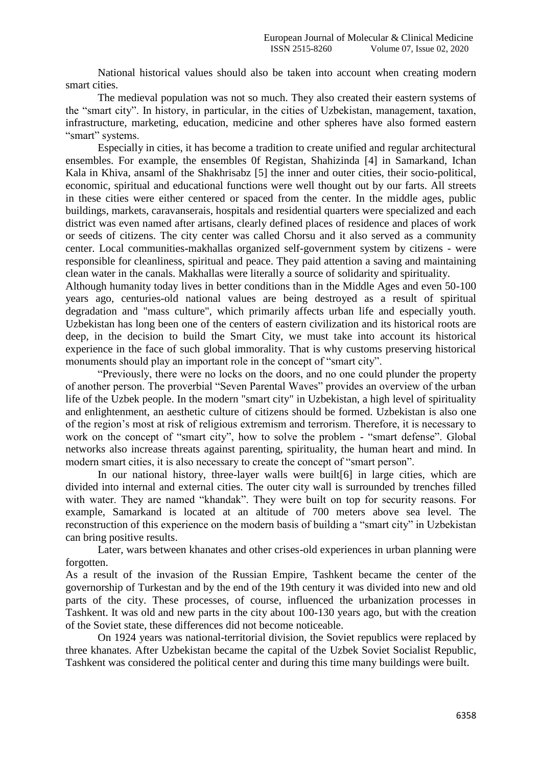National historical values should also be taken into account when creating modern smart cities.

The medieval population was not so much. They also created their eastern systems of the "smart city". In history, in particular, in the cities of Uzbekistan, management, taxation, infrastructure, marketing, education, medicine and other spheres have also formed eastern "smart" systems.

Especially in cities, it has become a tradition to create unified and regular architectural ensembles. For example, the ensembles 0f Registan, Shahizinda [4] in Samarkand, Ichan Kala in Khiva, ansaml of the Shakhrisabz [5] the inner and outer cities, their socio-political, economic, spiritual and educational functions were well thought out by our farts. All streets in these cities were either centered or spaced from the center. In the middle ages, public buildings, markets, caravanserais, hospitals and residential quarters were specialized and each district was even named after artisans, clearly defined places of residence and places of work or seeds of citizens. The city center was called Chorsu and it also served as a community center. Local communities-makhallas organized self-government system by citizens - were responsible for cleanliness, spiritual and peace. They paid attention a saving and maintaining clean water in the canals. Makhallas were literally a source of solidarity and spirituality.

Although humanity today lives in better conditions than in the Middle Ages and even 50-100 years ago, centuries-old national values are being destroyed as a result of spiritual degradation and "mass culture", which primarily affects urban life and especially youth. Uzbekistan has long been one of the centers of eastern civilization and its historical roots are deep, in the decision to build the Smart City, we must take into account its historical experience in the face of such global immorality. That is why customs preserving historical monuments should play an important role in the concept of "smart city".

"Previously, there were no locks on the doors, and no one could plunder the property of another person. The proverbial "Seven Parental Waves" provides an overview of the urban life of the Uzbek people. In the modern "smart city" in Uzbekistan, a high level of spirituality and enlightenment, an aesthetic culture of citizens should be formed. Uzbekistan is also one of the region's most at risk of religious extremism and terrorism. Therefore, it is necessary to work on the concept of "smart city", how to solve the problem - "smart defense". Global networks also increase threats against parenting, spirituality, the human heart and mind. In modern smart cities, it is also necessary to create the concept of "smart person".

In our national history, three-layer walls were built [6] in large cities, which are divided into internal and external cities. The outer city wall is surrounded by trenches filled with water. They are named "khandak". They were built on top for security reasons. For example, Samarkand is located at an altitude of 700 meters above sea level. The reconstruction of this experience on the modern basis of building a "smart city" in Uzbekistan can bring positive results.

Later, wars between khanates and other crises-old experiences in urban planning were forgotten.

As a result of the invasion of the Russian Empire, Tashkent became the center of the governorship of Turkestan and by the end of the 19th century it was divided into new and old parts of the city. These processes, of course, influenced the urbanization processes in Tashkent. It was old and new parts in the city about 100-130 years ago, but with the creation of the Soviet state, these differences did not become noticeable.

On 1924 years was national-territorial division, the Soviet republics were replaced by three khanates. After Uzbekistan became the capital of the Uzbek Soviet Socialist Republic, Tashkent was considered the political center and during this time many buildings were built.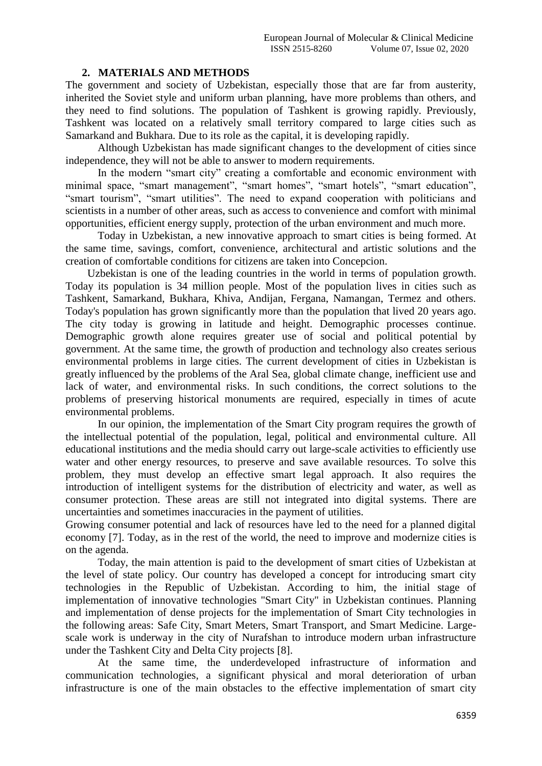#### **2. MATERIALS AND METHODS**

The government and society of Uzbekistan, especially those that are far from austerity, inherited the Soviet style and uniform urban planning, have more problems than others, and they need to find solutions. The population of Tashkent is growing rapidly. Previously, Tashkent was located on a relatively small territory compared to large cities such as Samarkand and Bukhara. Due to its role as the capital, it is developing rapidly.

Although Uzbekistan has made significant changes to the development of cities since independence, they will not be able to answer to modern requirements.

In the modern "smart city" creating a comfortable and economic environment with minimal space, "smart management", "smart homes", "smart hotels", "smart education", "smart tourism", "smart utilities". The need to expand cooperation with politicians and scientists in a number of other areas, such as access to convenience and comfort with minimal opportunities, efficient energy supply, protection of the urban environment and much more.

Today in Uzbekistan, a new innovative approach to smart cities is being formed. At the same time, savings, comfort, convenience, architectural and artistic solutions and the creation of comfortable conditions for citizens are taken into Concepcion.

 Uzbekistan is one of the leading countries in the world in terms of population growth. Today its population is 34 million people. Most of the population lives in cities such as Tashkent, Samarkand, Bukhara, Khiva, Andijan, Fergana, Namangan, Termez and others. Today's population has grown significantly more than the population that lived 20 years ago. The city today is growing in latitude and height. Demographic processes continue. Demographic growth alone requires greater use of social and political potential by government. At the same time, the growth of production and technology also creates serious environmental problems in large cities. The current development of cities in Uzbekistan is greatly influenced by the problems of the Aral Sea, global climate change, inefficient use and lack of water, and environmental risks. In such conditions, the correct solutions to the problems of preserving historical monuments are required, especially in times of acute environmental problems.

In our opinion, the implementation of the Smart City program requires the growth of the intellectual potential of the population, legal, political and environmental culture. All educational institutions and the media should carry out large-scale activities to efficiently use water and other energy resources, to preserve and save available resources. To solve this problem, they must develop an effective smart legal approach. It also requires the introduction of intelligent systems for the distribution of electricity and water, as well as consumer protection. These areas are still not integrated into digital systems. There are uncertainties and sometimes inaccuracies in the payment of utilities.

Growing consumer potential and lack of resources have led to the need for a planned digital economy [7]. Today, as in the rest of the world, the need to improve and modernize cities is on the agenda.

Today, the main attention is paid to the development of smart cities of Uzbekistan at the level of state policy. Our country has developed a concept for introducing smart city technologies in the Republic of Uzbekistan. According to him, the initial stage of implementation of innovative technologies "Smart City" in Uzbekistan continues. Planning and implementation of dense projects for the implementation of Smart City technologies in the following areas: Safe City, Smart Meters, Smart Transport, and Smart Medicine. Largescale work is underway in the city of Nurafshan to introduce modern urban infrastructure under the Tashkent City and Delta City projects [8].

At the same time, the underdeveloped infrastructure of information and communication technologies, a significant physical and moral deterioration of urban infrastructure is one of the main obstacles to the effective implementation of smart city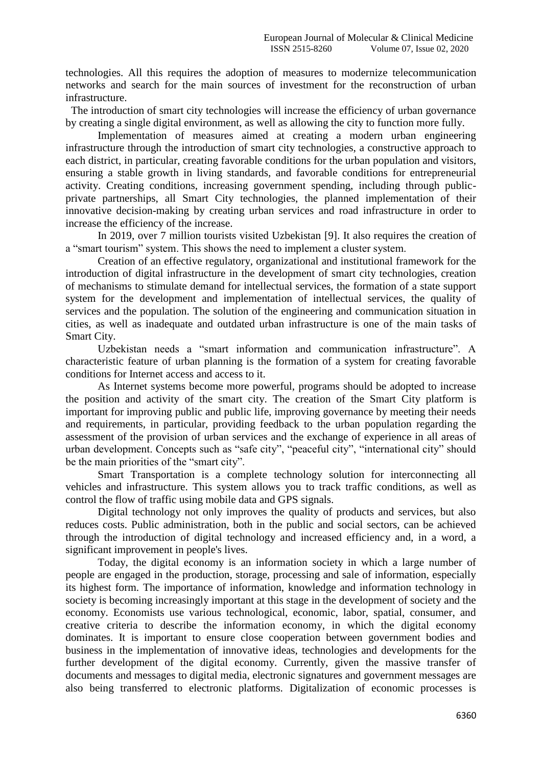technologies. All this requires the adoption of measures to modernize telecommunication networks and search for the main sources of investment for the reconstruction of urban infrastructure.

 The introduction of smart city technologies will increase the efficiency of urban governance by creating a single digital environment, as well as allowing the city to function more fully.

Implementation of measures aimed at creating a modern urban engineering infrastructure through the introduction of smart city technologies, a constructive approach to each district, in particular, creating favorable conditions for the urban population and visitors, ensuring a stable growth in living standards, and favorable conditions for entrepreneurial activity. Creating conditions, increasing government spending, including through publicprivate partnerships, all Smart City technologies, the planned implementation of their innovative decision-making by creating urban services and road infrastructure in order to increase the efficiency of the increase.

In 2019, over 7 million tourists visited Uzbekistan [9]. It also requires the creation of a "smart tourism" system. This shows the need to implement a cluster system.

Creation of an effective regulatory, organizational and institutional framework for the introduction of digital infrastructure in the development of smart city technologies, creation of mechanisms to stimulate demand for intellectual services, the formation of a state support system for the development and implementation of intellectual services, the quality of services and the population. The solution of the engineering and communication situation in cities, as well as inadequate and outdated urban infrastructure is one of the main tasks of Smart City.

Uzbekistan needs a "smart information and communication infrastructure". A characteristic feature of urban planning is the formation of a system for creating favorable conditions for Internet access and access to it.

As Internet systems become more powerful, programs should be adopted to increase the position and activity of the smart city. The creation of the Smart City platform is important for improving public and public life, improving governance by meeting their needs and requirements, in particular, providing feedback to the urban population regarding the assessment of the provision of urban services and the exchange of experience in all areas of urban development. Concepts such as "safe city", "peaceful city", "international city" should be the main priorities of the "smart city".

Smart Transportation is a complete technology solution for interconnecting all vehicles and infrastructure. This system allows you to track traffic conditions, as well as control the flow of traffic using mobile data and GPS signals.

Digital technology not only improves the quality of products and services, but also reduces costs. Public administration, both in the public and social sectors, can be achieved through the introduction of digital technology and increased efficiency and, in a word, a significant improvement in people's lives.

Today, the digital economy is an information society in which a large number of people are engaged in the production, storage, processing and sale of information, especially its highest form. The importance of information, knowledge and information technology in society is becoming increasingly important at this stage in the development of society and the economy. Economists use various technological, economic, labor, spatial, consumer, and creative criteria to describe the information economy, in which the digital economy dominates. It is important to ensure close cooperation between government bodies and business in the implementation of innovative ideas, technologies and developments for the further development of the digital economy. Currently, given the massive transfer of documents and messages to digital media, electronic signatures and government messages are also being transferred to electronic platforms. Digitalization of economic processes is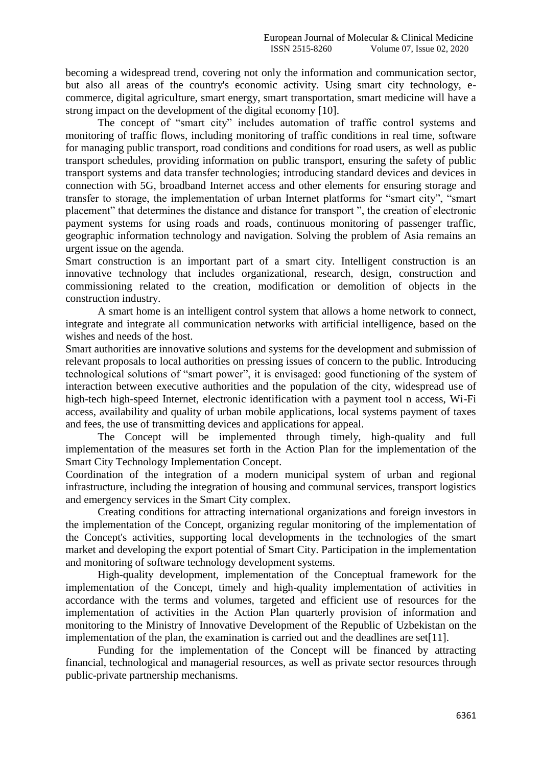becoming a widespread trend, covering not only the information and communication sector, but also all areas of the country's economic activity. Using smart city technology, ecommerce, digital agriculture, smart energy, smart transportation, smart medicine will have a strong impact on the development of the digital economy [10].

The concept of "smart city" includes automation of traffic control systems and monitoring of traffic flows, including monitoring of traffic conditions in real time, software for managing public transport, road conditions and conditions for road users, as well as public transport schedules, providing information on public transport, ensuring the safety of public transport systems and data transfer technologies; introducing standard devices and devices in connection with 5G, broadband Internet access and other elements for ensuring storage and transfer to storage, the implementation of urban Internet platforms for "smart city", "smart placement" that determines the distance and distance for transport ", the creation of electronic payment systems for using roads and roads, continuous monitoring of passenger traffic, geographic information technology and navigation. Solving the problem of Asia remains an urgent issue on the agenda.

Smart construction is an important part of a smart city. Intelligent construction is an innovative technology that includes organizational, research, design, construction and commissioning related to the creation, modification or demolition of objects in the construction industry.

A smart home is an intelligent control system that allows a home network to connect, integrate and integrate all communication networks with artificial intelligence, based on the wishes and needs of the host.

Smart authorities are innovative solutions and systems for the development and submission of relevant proposals to local authorities on pressing issues of concern to the public. Introducing technological solutions of "smart power", it is envisaged: good functioning of the system of interaction between executive authorities and the population of the city, widespread use of high-tech high-speed Internet, electronic identification with a payment tool n access, Wi-Fi access, availability and quality of urban mobile applications, local systems payment of taxes and fees, the use of transmitting devices and applications for appeal.

The Concept will be implemented through timely, high-quality and full implementation of the measures set forth in the Action Plan for the implementation of the Smart City Technology Implementation Concept.

Coordination of the integration of a modern municipal system of urban and regional infrastructure, including the integration of housing and communal services, transport logistics and emergency services in the Smart City complex.

Creating conditions for attracting international organizations and foreign investors in the implementation of the Concept, organizing regular monitoring of the implementation of the Concept's activities, supporting local developments in the technologies of the smart market and developing the export potential of Smart City. Participation in the implementation and monitoring of software technology development systems.

High-quality development, implementation of the Conceptual framework for the implementation of the Concept, timely and high-quality implementation of activities in accordance with the terms and volumes, targeted and efficient use of resources for the implementation of activities in the Action Plan quarterly provision of information and monitoring to the Ministry of Innovative Development of the Republic of Uzbekistan on the implementation of the plan, the examination is carried out and the deadlines are set[11].

Funding for the implementation of the Concept will be financed by attracting financial, technological and managerial resources, as well as private sector resources through public-private partnership mechanisms.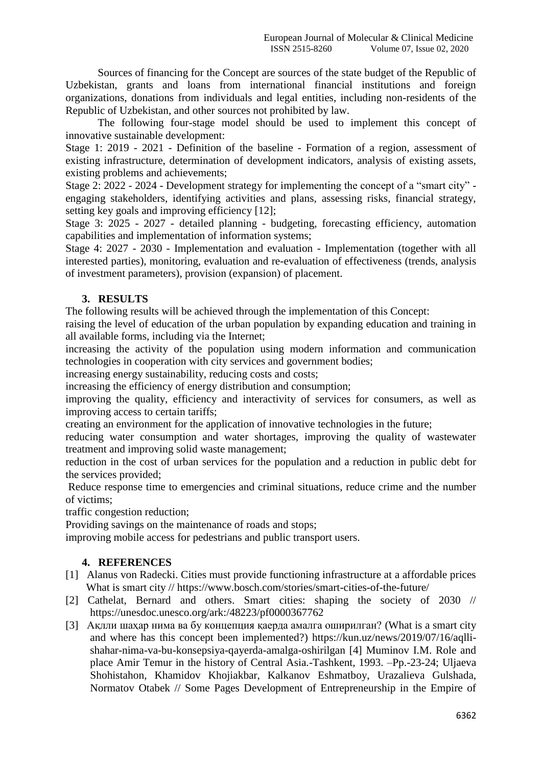Sources of financing for the Concept are sources of the state budget of the Republic of Uzbekistan, grants and loans from international financial institutions and foreign organizations, donations from individuals and legal entities, including non-residents of the Republic of Uzbekistan, and other sources not prohibited by law.

The following four-stage model should be used to implement this concept of innovative sustainable development:

Stage 1: 2019 - 2021 - Definition of the baseline - Formation of a region, assessment of existing infrastructure, determination of development indicators, analysis of existing assets, existing problems and achievements;

Stage 2: 2022 - 2024 - Development strategy for implementing the concept of a "smart city" engaging stakeholders, identifying activities and plans, assessing risks, financial strategy, setting key goals and improving efficiency [12];

Stage 3: 2025 - 2027 - detailed planning - budgeting, forecasting efficiency, automation capabilities and implementation of information systems;

Stage 4: 2027 - 2030 - Implementation and evaluation - Implementation (together with all interested parties), monitoring, evaluation and re-evaluation of effectiveness (trends, analysis of investment parameters), provision (expansion) of placement.

# **3. RESULTS**

The following results will be achieved through the implementation of this Concept:

raising the level of education of the urban population by expanding education and training in all available forms, including via the Internet;

increasing the activity of the population using modern information and communication technologies in cooperation with city services and government bodies;

increasing energy sustainability, reducing costs and costs;

increasing the efficiency of energy distribution and consumption;

improving the quality, efficiency and interactivity of services for consumers, as well as improving access to certain tariffs;

creating an environment for the application of innovative technologies in the future;

reducing water consumption and water shortages, improving the quality of wastewater treatment and improving solid waste management;

reduction in the cost of urban services for the population and a reduction in public debt for the services provided;

Reduce response time to emergencies and criminal situations, reduce crime and the number of victims;

traffic congestion reduction;

Providing savings on the maintenance of roads and stops;

improving mobile access for pedestrians and public transport users.

# **4. REFERENCES**

- [1] Alanus von Radecki. Cities must provide functioning infrastructure at a affordable prices What is smart city // https://www.bosch.com/stories/smart-cities-of-the-future/
- [2] Cathelat, Bernard and others. Smart cities: shaping the society of 2030 // https://unesdoc.unesco.org/ark:/48223/pf0000367762
- [3] Ақлли шаҳар нима ва бу концепция қаерда амалга оширилган? (What is a smart city and where has this concept been implemented?) https://kun.uz/news/2019/07/16/aqllishahar-nima-va-bu-konsepsiya-qayerda-amalga-oshirilgan [4] Muminov I.M. Role and place Amir Temur in the history of Central Asia.-Tashkent, 1993. –Pp.-23-24; Uljaeva Shohistahon, Khamidov Khojiakbar, Kalkanov Eshmatboy, Urazalieva Gulshada, Normatov Otabek // Some Pages Development of Entrepreneurship in the Empire of